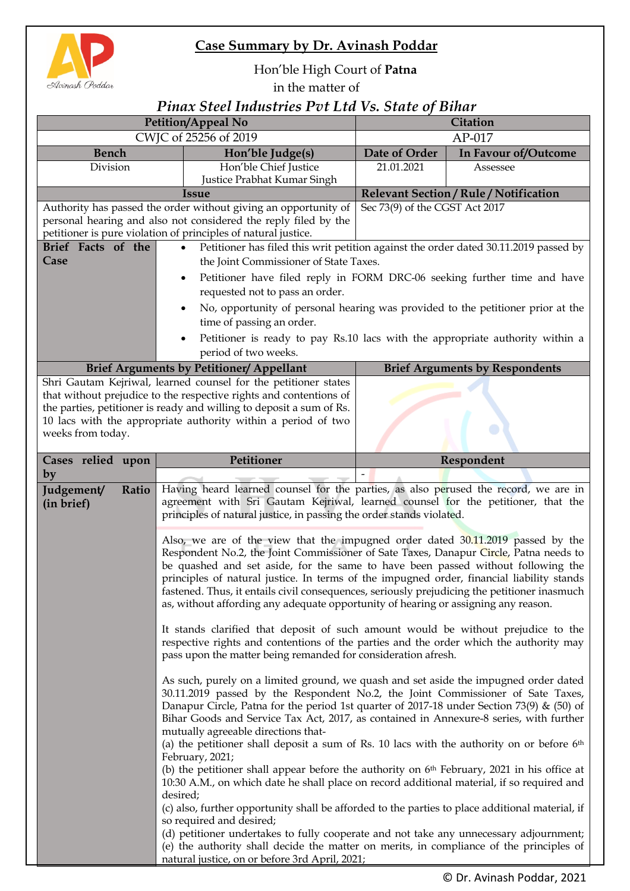

## **Case Summary by Dr. Avinash Poddar**

## Hon'ble High Court of **Patna**

in the matter of

## *Pinax Steel Industries Pvt Ltd Vs. State of Bihar*

| CWJC of 25256 of 2019<br>$AP-017$<br>Date of Order<br><b>Bench</b><br>In Favour of/Outcome<br>Hon'ble Judge(s)<br>Hon'ble Chief Justice<br>21.01.2021<br>Division<br>Assessee<br>Justice Prabhat Kumar Singh<br>Relevant Section / Rule / Notification<br><b>Issue</b><br>Sec 73(9) of the CGST Act 2017<br>Authority has passed the order without giving an opportunity of<br>personal hearing and also not considered the reply filed by the<br>petitioner is pure violation of principles of natural justice.<br>Brief Facts of the<br>Petitioner has filed this writ petition against the order dated 30.11.2019 passed by<br>$\bullet$ |                                                                                                                                                                                    |  |  |
|---------------------------------------------------------------------------------------------------------------------------------------------------------------------------------------------------------------------------------------------------------------------------------------------------------------------------------------------------------------------------------------------------------------------------------------------------------------------------------------------------------------------------------------------------------------------------------------------------------------------------------------------|------------------------------------------------------------------------------------------------------------------------------------------------------------------------------------|--|--|
|                                                                                                                                                                                                                                                                                                                                                                                                                                                                                                                                                                                                                                             |                                                                                                                                                                                    |  |  |
|                                                                                                                                                                                                                                                                                                                                                                                                                                                                                                                                                                                                                                             |                                                                                                                                                                                    |  |  |
|                                                                                                                                                                                                                                                                                                                                                                                                                                                                                                                                                                                                                                             |                                                                                                                                                                                    |  |  |
|                                                                                                                                                                                                                                                                                                                                                                                                                                                                                                                                                                                                                                             |                                                                                                                                                                                    |  |  |
|                                                                                                                                                                                                                                                                                                                                                                                                                                                                                                                                                                                                                                             |                                                                                                                                                                                    |  |  |
|                                                                                                                                                                                                                                                                                                                                                                                                                                                                                                                                                                                                                                             |                                                                                                                                                                                    |  |  |
|                                                                                                                                                                                                                                                                                                                                                                                                                                                                                                                                                                                                                                             |                                                                                                                                                                                    |  |  |
|                                                                                                                                                                                                                                                                                                                                                                                                                                                                                                                                                                                                                                             |                                                                                                                                                                                    |  |  |
| Case<br>the Joint Commissioner of State Taxes.                                                                                                                                                                                                                                                                                                                                                                                                                                                                                                                                                                                              |                                                                                                                                                                                    |  |  |
| Petitioner have filed reply in FORM DRC-06 seeking further time and have<br>$\bullet$                                                                                                                                                                                                                                                                                                                                                                                                                                                                                                                                                       |                                                                                                                                                                                    |  |  |
| requested not to pass an order.                                                                                                                                                                                                                                                                                                                                                                                                                                                                                                                                                                                                             |                                                                                                                                                                                    |  |  |
| No, opportunity of personal hearing was provided to the petitioner prior at the                                                                                                                                                                                                                                                                                                                                                                                                                                                                                                                                                             |                                                                                                                                                                                    |  |  |
| time of passing an order.                                                                                                                                                                                                                                                                                                                                                                                                                                                                                                                                                                                                                   |                                                                                                                                                                                    |  |  |
| Petitioner is ready to pay Rs.10 lacs with the appropriate authority within a                                                                                                                                                                                                                                                                                                                                                                                                                                                                                                                                                               |                                                                                                                                                                                    |  |  |
| period of two weeks.                                                                                                                                                                                                                                                                                                                                                                                                                                                                                                                                                                                                                        |                                                                                                                                                                                    |  |  |
| <b>Brief Arguments by Petitioner/ Appellant</b><br><b>Brief Arguments by Respondents</b>                                                                                                                                                                                                                                                                                                                                                                                                                                                                                                                                                    |                                                                                                                                                                                    |  |  |
| Shri Gautam Kejriwal, learned counsel for the petitioner states<br>that without prejudice to the respective rights and contentions of                                                                                                                                                                                                                                                                                                                                                                                                                                                                                                       |                                                                                                                                                                                    |  |  |
| the parties, petitioner is ready and willing to deposit a sum of Rs.                                                                                                                                                                                                                                                                                                                                                                                                                                                                                                                                                                        |                                                                                                                                                                                    |  |  |
| 10 lacs with the appropriate authority within a period of two                                                                                                                                                                                                                                                                                                                                                                                                                                                                                                                                                                               |                                                                                                                                                                                    |  |  |
| weeks from today.                                                                                                                                                                                                                                                                                                                                                                                                                                                                                                                                                                                                                           |                                                                                                                                                                                    |  |  |
|                                                                                                                                                                                                                                                                                                                                                                                                                                                                                                                                                                                                                                             |                                                                                                                                                                                    |  |  |
| Petitioner<br>Cases relied upon<br>Respondent                                                                                                                                                                                                                                                                                                                                                                                                                                                                                                                                                                                               |                                                                                                                                                                                    |  |  |
| by                                                                                                                                                                                                                                                                                                                                                                                                                                                                                                                                                                                                                                          |                                                                                                                                                                                    |  |  |
| Having heard learned counsel for the parties, as also perused the record, we are in<br>Judgement/<br>Ratio<br>agreement with Sri Gautam Kejriwal, learned counsel for the petitioner, that the<br>(in brief)                                                                                                                                                                                                                                                                                                                                                                                                                                |                                                                                                                                                                                    |  |  |
| principles of natural justice, in passing the order stands violated.                                                                                                                                                                                                                                                                                                                                                                                                                                                                                                                                                                        |                                                                                                                                                                                    |  |  |
|                                                                                                                                                                                                                                                                                                                                                                                                                                                                                                                                                                                                                                             |                                                                                                                                                                                    |  |  |
| Also, we are of the view that the impugned order dated 30.11.2019 passed by the                                                                                                                                                                                                                                                                                                                                                                                                                                                                                                                                                             |                                                                                                                                                                                    |  |  |
| Respondent No.2, the Joint Commissioner of Sate Taxes, Danapur Circle, Patna needs to<br>be quashed and set aside, for the same to have been passed without following the                                                                                                                                                                                                                                                                                                                                                                                                                                                                   |                                                                                                                                                                                    |  |  |
| principles of natural justice. In terms of the impugned order, financial liability stands                                                                                                                                                                                                                                                                                                                                                                                                                                                                                                                                                   |                                                                                                                                                                                    |  |  |
|                                                                                                                                                                                                                                                                                                                                                                                                                                                                                                                                                                                                                                             | fastened. Thus, it entails civil consequences, seriously prejudicing the petitioner inasmuch<br>as, without affording any adequate opportunity of hearing or assigning any reason. |  |  |
|                                                                                                                                                                                                                                                                                                                                                                                                                                                                                                                                                                                                                                             |                                                                                                                                                                                    |  |  |
|                                                                                                                                                                                                                                                                                                                                                                                                                                                                                                                                                                                                                                             |                                                                                                                                                                                    |  |  |
|                                                                                                                                                                                                                                                                                                                                                                                                                                                                                                                                                                                                                                             | It stands clarified that deposit of such amount would be without prejudice to the<br>respective rights and contentions of the parties and the order which the authority may        |  |  |
|                                                                                                                                                                                                                                                                                                                                                                                                                                                                                                                                                                                                                                             | pass upon the matter being remanded for consideration afresh.                                                                                                                      |  |  |
|                                                                                                                                                                                                                                                                                                                                                                                                                                                                                                                                                                                                                                             |                                                                                                                                                                                    |  |  |
| As such, purely on a limited ground, we quash and set aside the impugned order dated                                                                                                                                                                                                                                                                                                                                                                                                                                                                                                                                                        |                                                                                                                                                                                    |  |  |
| Danapur Circle, Patna for the period 1st quarter of 2017-18 under Section 73(9) & (50) of                                                                                                                                                                                                                                                                                                                                                                                                                                                                                                                                                   | 30.11.2019 passed by the Respondent No.2, the Joint Commissioner of Sate Taxes,                                                                                                    |  |  |
|                                                                                                                                                                                                                                                                                                                                                                                                                                                                                                                                                                                                                                             | Bihar Goods and Service Tax Act, 2017, as contained in Annexure-8 series, with further                                                                                             |  |  |
| mutually agreeable directions that-                                                                                                                                                                                                                                                                                                                                                                                                                                                                                                                                                                                                         |                                                                                                                                                                                    |  |  |
|                                                                                                                                                                                                                                                                                                                                                                                                                                                                                                                                                                                                                                             | (a) the petitioner shall deposit a sum of Rs. 10 lacs with the authority on or before $6th$                                                                                        |  |  |
|                                                                                                                                                                                                                                                                                                                                                                                                                                                                                                                                                                                                                                             | February, 2021;                                                                                                                                                                    |  |  |
|                                                                                                                                                                                                                                                                                                                                                                                                                                                                                                                                                                                                                                             |                                                                                                                                                                                    |  |  |
| (b) the petitioner shall appear before the authority on $6th$ February, 2021 in his office at                                                                                                                                                                                                                                                                                                                                                                                                                                                                                                                                               |                                                                                                                                                                                    |  |  |
| 10:30 A.M., on which date he shall place on record additional material, if so required and                                                                                                                                                                                                                                                                                                                                                                                                                                                                                                                                                  |                                                                                                                                                                                    |  |  |
| desired;<br>(c) also, further opportunity shall be afforded to the parties to place additional material, if                                                                                                                                                                                                                                                                                                                                                                                                                                                                                                                                 |                                                                                                                                                                                    |  |  |
| so required and desired;                                                                                                                                                                                                                                                                                                                                                                                                                                                                                                                                                                                                                    |                                                                                                                                                                                    |  |  |
| (d) petitioner undertakes to fully cooperate and not take any unnecessary adjournment;<br>(e) the authority shall decide the matter on merits, in compliance of the principles of                                                                                                                                                                                                                                                                                                                                                                                                                                                           |                                                                                                                                                                                    |  |  |